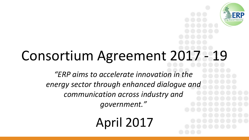

## Consortium Agreement 2017 - 19

*"ERP aims to accelerate innovation in the energy sector through enhanced dialogue and communication across industry and government."*

April 2017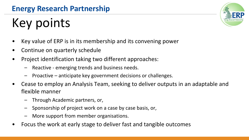## Key points

- Key value of ERP is in its membership and its convening power
- Continue on quarterly schedule
- Project identification taking two different approaches:
	- Reactive emerging trends and business needs.
	- Proactive anticipate key government decisions or challenges.
- Cease to employ an Analysis Team, seeking to deliver outputs in an adaptable and flexible manner
	- Through Academic partners, or,
	- Sponsorship of project work on a case by case basis, or,
	- More support from member organisations.
- Focus the work at early stage to deliver fast and tangible outcomes

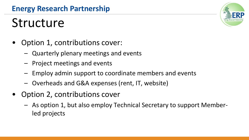## Structure

- Option 1, contributions cover:
	- Quarterly plenary meetings and events
	- Project meetings and events
	- Employ admin support to coordinate members and events
	- Overheads and G&A expenses (rent, IT, website)
- Option 2, contributions cover
	- As option 1, but also employ Technical Secretary to support Memberled projects